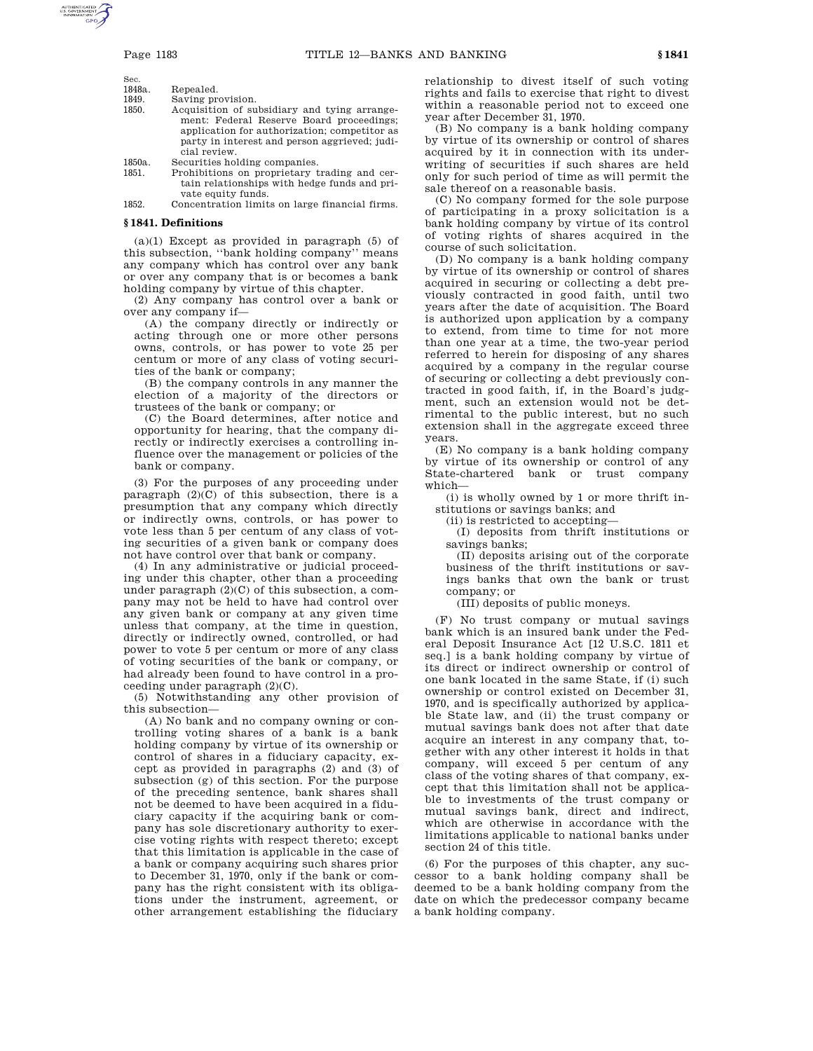$\mathbf{s}$ 

| Sec.   |                                              |
|--------|----------------------------------------------|
| 1848a. | Repealed.                                    |
| 1849.  | Saving provision.                            |
| 1850.  | Acquisition of subsidiary and tying arrange- |
|        | ment: Federal Reserve Board proceedings:     |

- serve Board proceedings; application for authorization; competitor as party in interest and person aggrieved; judicial review.
- 1850a. Securities holding companies.
- Prohibitions on proprietary trading and certain relationships with hedge funds and private equity funds.

1852. Concentration limits on large financial firms.

## **§ 1841. Definitions**

(a)(1) Except as provided in paragraph (5) of this subsection, ''bank holding company'' means any company which has control over any bank or over any company that is or becomes a bank holding company by virtue of this chapter.

(2) Any company has control over a bank or over any company if—

(A) the company directly or indirectly or acting through one or more other persons owns, controls, or has power to vote 25 per centum or more of any class of voting securities of the bank or company;

(B) the company controls in any manner the election of a majority of the directors or trustees of the bank or company; or

(C) the Board determines, after notice and opportunity for hearing, that the company directly or indirectly exercises a controlling influence over the management or policies of the bank or company.

(3) For the purposes of any proceeding under paragraph  $(2)(C)$  of this subsection, there is a presumption that any company which directly or indirectly owns, controls, or has power to vote less than 5 per centum of any class of voting securities of a given bank or company does not have control over that bank or company.

(4) In any administrative or judicial proceeding under this chapter, other than a proceeding under paragraph (2)(C) of this subsection, a company may not be held to have had control over any given bank or company at any given time unless that company, at the time in question, directly or indirectly owned, controlled, or had power to vote 5 per centum or more of any class of voting securities of the bank or company, or had already been found to have control in a proceeding under paragraph (2)(C).

(5) Notwithstanding any other provision of this subsection—

(A) No bank and no company owning or controlling voting shares of a bank is a bank holding company by virtue of its ownership or control of shares in a fiduciary capacity, except as provided in paragraphs (2) and (3) of subsection (g) of this section. For the purpose of the preceding sentence, bank shares shall not be deemed to have been acquired in a fiduciary capacity if the acquiring bank or company has sole discretionary authority to exercise voting rights with respect thereto; except that this limitation is applicable in the case of a bank or company acquiring such shares prior to December 31, 1970, only if the bank or company has the right consistent with its obligations under the instrument, agreement, or other arrangement establishing the fiduciary

relationship to divest itself of such voting rights and fails to exercise that right to divest within a reasonable period not to exceed one year after December 31, 1970.

(B) No company is a bank holding company by virtue of its ownership or control of shares acquired by it in connection with its underwriting of securities if such shares are held only for such period of time as will permit the sale thereof on a reasonable basis.

(C) No company formed for the sole purpose of participating in a proxy solicitation is a bank holding company by virtue of its control of voting rights of shares acquired in the course of such solicitation.

(D) No company is a bank holding company by virtue of its ownership or control of shares acquired in securing or collecting a debt previously contracted in good faith, until two years after the date of acquisition. The Board is authorized upon application by a company to extend, from time to time for not more than one year at a time, the two-year period referred to herein for disposing of any shares acquired by a company in the regular course of securing or collecting a debt previously contracted in good faith, if, in the Board's judgment, such an extension would not be detrimental to the public interest, but no such extension shall in the aggregate exceed three years.

(E) No company is a bank holding company by virtue of its ownership or control of any State-chartered bank or trust company which—

(i) is wholly owned by 1 or more thrift institutions or savings banks; and

(ii) is restricted to accepting—

(I) deposits from thrift institutions or savings banks;

(II) deposits arising out of the corporate business of the thrift institutions or savings banks that own the bank or trust company; or

(III) deposits of public moneys.

(F) No trust company or mutual savings bank which is an insured bank under the Federal Deposit Insurance Act [12 U.S.C. 1811 et seq.] is a bank holding company by virtue of its direct or indirect ownership or control of one bank located in the same State, if (i) such ownership or control existed on December 31, 1970, and is specifically authorized by applicable State law, and (ii) the trust company or mutual savings bank does not after that date acquire an interest in any company that, together with any other interest it holds in that company, will exceed 5 per centum of any class of the voting shares of that company, except that this limitation shall not be applicable to investments of the trust company or mutual savings bank, direct and indirect, which are otherwise in accordance with the limitations applicable to national banks under section 24 of this title.

(6) For the purposes of this chapter, any successor to a bank holding company shall be deemed to be a bank holding company from the date on which the predecessor company became a bank holding company.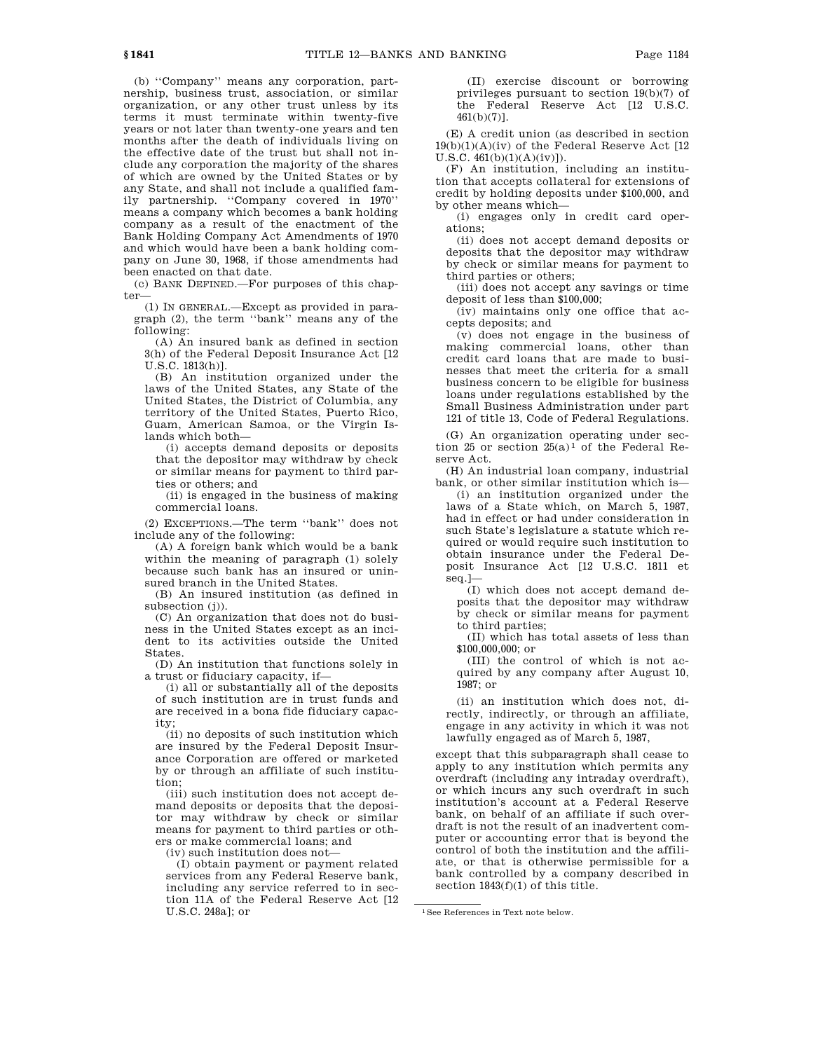(b) ''Company'' means any corporation, partnership, business trust, association, or similar organization, or any other trust unless by its terms it must terminate within twenty-five years or not later than twenty-one years and ten months after the death of individuals living on the effective date of the trust but shall not include any corporation the majority of the shares of which are owned by the United States or by any State, and shall not include a qualified family partnership. ''Company covered in 1970'' means a company which becomes a bank holding company as a result of the enactment of the Bank Holding Company Act Amendments of 1970 and which would have been a bank holding company on June 30, 1968, if those amendments had been enacted on that date.

(c) BANK DEFINED.—For purposes of this chapter—

(1) IN GENERAL.—Except as provided in paragraph (2), the term ''bank'' means any of the following:

(A) An insured bank as defined in section 3(h) of the Federal Deposit Insurance Act [12 U.S.C. 1813(h)].

(B) An institution organized under the laws of the United States, any State of the United States, the District of Columbia, any territory of the United States, Puerto Rico, Guam, American Samoa, or the Virgin Islands which both—

(i) accepts demand deposits or deposits that the depositor may withdraw by check or similar means for payment to third parties or others; and

(ii) is engaged in the business of making commercial loans.

(2) EXCEPTIONS.—The term ''bank'' does not include any of the following:

(A) A foreign bank which would be a bank within the meaning of paragraph (1) solely because such bank has an insured or uninsured branch in the United States.

(B) An insured institution (as defined in subsection (j)).

(C) An organization that does not do business in the United States except as an incident to its activities outside the United States.

(D) An institution that functions solely in a trust or fiduciary capacity, if—

(i) all or substantially all of the deposits of such institution are in trust funds and are received in a bona fide fiduciary capacity;

(ii) no deposits of such institution which are insured by the Federal Deposit Insurance Corporation are offered or marketed by or through an affiliate of such institution;

(iii) such institution does not accept demand deposits or deposits that the depositor may withdraw by check or similar means for payment to third parties or others or make commercial loans; and

(iv) such institution does not—

(I) obtain payment or payment related services from any Federal Reserve bank, including any service referred to in section 11A of the Federal Reserve Act [12 U.S.C. 248a]; or

(II) exercise discount or borrowing privileges pursuant to section 19(b)(7) of the Federal Reserve Act [12 U.S.C. 461(b)(7)].

(E) A credit union (as described in section  $19(b)(1)(A)(iv)$  of the Federal Reserve Act [12]  $U.S.C. 461(b)(1)(A)(iv)$ ]).

(F) An institution, including an institution that accepts collateral for extensions of credit by holding deposits under \$100,000, and by other means which—

(i) engages only in credit card operations;

(ii) does not accept demand deposits or deposits that the depositor may withdraw by check or similar means for payment to third parties or others;

(iii) does not accept any savings or time deposit of less than \$100,000;

(iv) maintains only one office that accepts deposits; and

(v) does not engage in the business of making commercial loans, other than credit card loans that are made to businesses that meet the criteria for a small business concern to be eligible for business loans under regulations established by the Small Business Administration under part 121 of title 13, Code of Federal Regulations.

(G) An organization operating under section 25 or section  $25(a)^1$  of the Federal Reserve Act.

(H) An industrial loan company, industrial bank, or other similar institution which is—

(i) an institution organized under the laws of a State which, on March 5, 1987, had in effect or had under consideration in such State's legislature a statute which required or would require such institution to obtain insurance under the Federal Deposit Insurance Act [12 U.S.C. 1811 et seq.]—

(I) which does not accept demand deposits that the depositor may withdraw by check or similar means for payment to third parties;

(II) which has total assets of less than \$100,000,000; or

(III) the control of which is not acquired by any company after August 10, 1987; or

(ii) an institution which does not, directly, indirectly, or through an affiliate, engage in any activity in which it was not lawfully engaged as of March 5, 1987,

except that this subparagraph shall cease to apply to any institution which permits any overdraft (including any intraday overdraft), or which incurs any such overdraft in such institution's account at a Federal Reserve bank, on behalf of an affiliate if such overdraft is not the result of an inadvertent computer or accounting error that is beyond the control of both the institution and the affiliate, or that is otherwise permissible for a bank controlled by a company described in section 1843(f)(1) of this title.

1See References in Text note below.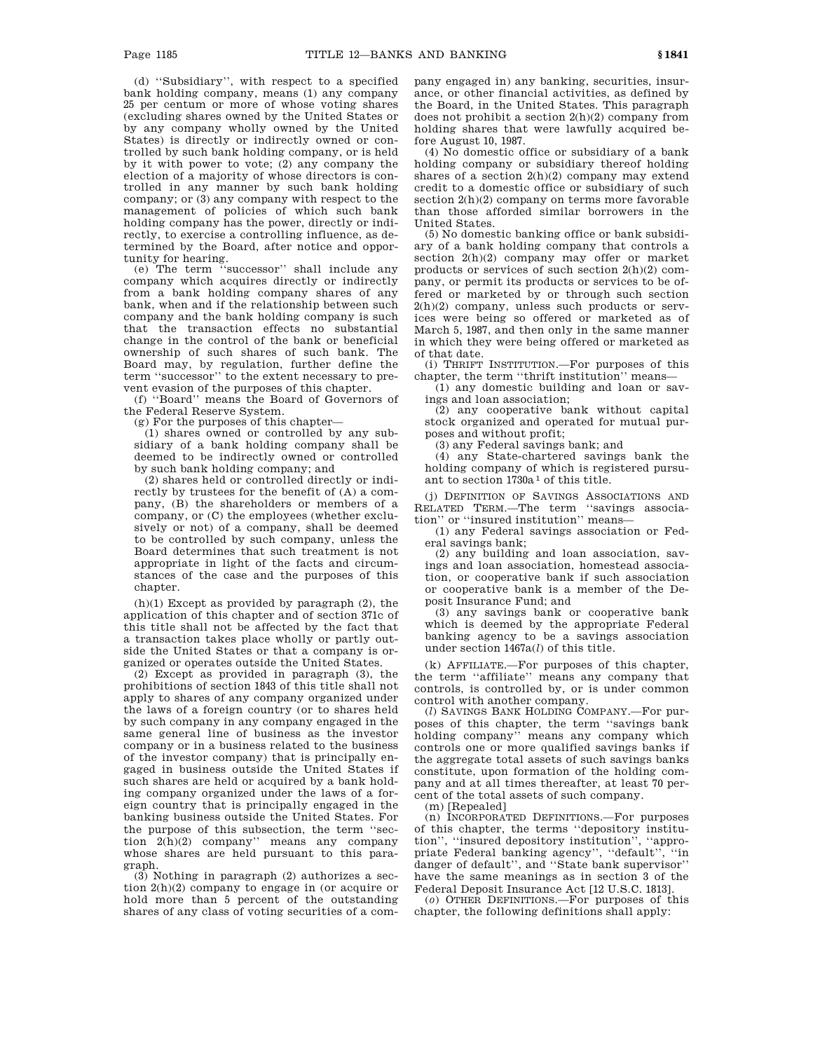(d) ''Subsidiary'', with respect to a specified bank holding company, means (1) any company 25 per centum or more of whose voting shares (excluding shares owned by the United States or by any company wholly owned by the United States) is directly or indirectly owned or controlled by such bank holding company, or is held by it with power to vote; (2) any company the election of a majority of whose directors is controlled in any manner by such bank holding company; or (3) any company with respect to the management of policies of which such bank holding company has the power, directly or indirectly, to exercise a controlling influence, as determined by the Board, after notice and opportunity for hearing.

(e) The term ''successor'' shall include any company which acquires directly or indirectly from a bank holding company shares of any bank, when and if the relationship between such company and the bank holding company is such that the transaction effects no substantial change in the control of the bank or beneficial ownership of such shares of such bank. The Board may, by regulation, further define the term ''successor'' to the extent necessary to prevent evasion of the purposes of this chapter.

(f) ''Board'' means the Board of Governors of the Federal Reserve System.

(g) For the purposes of this chapter—

(1) shares owned or controlled by any subsidiary of a bank holding company shall be deemed to be indirectly owned or controlled by such bank holding company; and

(2) shares held or controlled directly or indirectly by trustees for the benefit of (A) a company, (B) the shareholders or members of a company, or (C) the employees (whether exclusively or not) of a company, shall be deemed to be controlled by such company, unless the Board determines that such treatment is not appropriate in light of the facts and circumstances of the case and the purposes of this chapter.

 $(h)(1)$  Except as provided by paragraph  $(2)$ , the application of this chapter and of section 371c of this title shall not be affected by the fact that a transaction takes place wholly or partly outside the United States or that a company is organized or operates outside the United States.

(2) Except as provided in paragraph (3), the prohibitions of section 1843 of this title shall not apply to shares of any company organized under the laws of a foreign country (or to shares held by such company in any company engaged in the same general line of business as the investor company or in a business related to the business of the investor company) that is principally engaged in business outside the United States if such shares are held or acquired by a bank holding company organized under the laws of a foreign country that is principally engaged in the banking business outside the United States. For the purpose of this subsection, the term ''section 2(h)(2) company'' means any company whose shares are held pursuant to this paragraph.

(3) Nothing in paragraph (2) authorizes a section 2(h)(2) company to engage in (or acquire or hold more than 5 percent of the outstanding shares of any class of voting securities of a company engaged in) any banking, securities, insurance, or other financial activities, as defined by the Board, in the United States. This paragraph does not prohibit a section 2(h)(2) company from holding shares that were lawfully acquired before August 10, 1987.

(4) No domestic office or subsidiary of a bank holding company or subsidiary thereof holding shares of a section  $2(h)(2)$  company may extend credit to a domestic office or subsidiary of such section 2(h)(2) company on terms more favorable than those afforded similar borrowers in the United States.

(5) No domestic banking office or bank subsidiary of a bank holding company that controls a section 2(h)(2) company may offer or market products or services of such section 2(h)(2) company, or permit its products or services to be offered or marketed by or through such section 2(h)(2) company, unless such products or services were being so offered or marketed as of March 5, 1987, and then only in the same manner in which they were being offered or marketed as of that date.

(i) THRIFT INSTITUTION.—For purposes of this chapter, the term ''thrift institution'' means—

(1) any domestic building and loan or savings and loan association;

(2) any cooperative bank without capital stock organized and operated for mutual purposes and without profit;

(3) any Federal savings bank; and

(4) any State-chartered savings bank the holding company of which is registered pursuant to section 1730a 1 of this title.

(j) DEFINITION OF SAVINGS ASSOCIATIONS AND RELATED TERM.—The term ''savings association'' or ''insured institution'' means—

(1) any Federal savings association or Federal savings bank;

(2) any building and loan association, savings and loan association, homestead association, or cooperative bank if such association or cooperative bank is a member of the Deposit Insurance Fund; and

(3) any savings bank or cooperative bank which is deemed by the appropriate Federal banking agency to be a savings association under section 1467a(*l*) of this title.

(k) AFFILIATE.—For purposes of this chapter, the term ''affiliate'' means any company that controls, is controlled by, or is under common control with another company.

(*l*) SAVINGS BANK HOLDING COMPANY.—For purposes of this chapter, the term ''savings bank holding company'' means any company which controls one or more qualified savings banks if the aggregate total assets of such savings banks constitute, upon formation of the holding company and at all times thereafter, at least 70 percent of the total assets of such company.

(m) [Repealed]

(n) INCORPORATED DEFINITIONS.—For purposes of this chapter, the terms ''depository institution'', ''insured depository institution'', ''appropriate Federal banking agency'', ''default'', ''in danger of default'', and ''State bank supervisor'' have the same meanings as in section 3 of the Federal Deposit Insurance Act [12 U.S.C. 1813].

(*o*) OTHER DEFINITIONS.—For purposes of this chapter, the following definitions shall apply: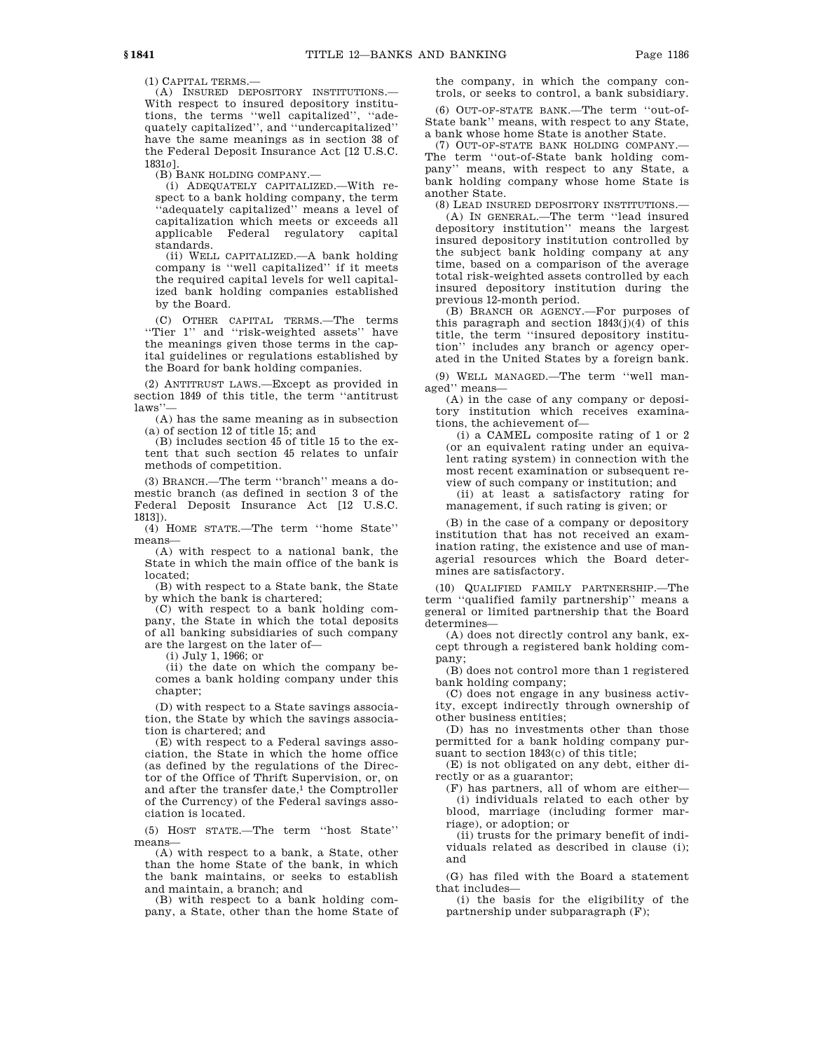(1) CAPITAL TERMS.—

(A) INSURED DEPOSITORY INSTITUTIONS.— With respect to insured depository institutions, the terms ''well capitalized'', ''adequately capitalized'', and ''undercapitalized'' have the same meanings as in section 38 of the Federal Deposit Insurance Act [12 U.S.C. 1831*o*].

(B) BANK HOLDING COMPANY.—

(i) ADEQUATELY CAPITALIZED.—With respect to a bank holding company, the term ''adequately capitalized'' means a level of capitalization which meets or exceeds all applicable Federal regulatory capital standards.

(ii) WELL CAPITALIZED.—A bank holding company is ''well capitalized'' if it meets the required capital levels for well capitalized bank holding companies established by the Board.

(C) OTHER CAPITAL TERMS.—The terms ''Tier 1'' and ''risk-weighted assets'' have the meanings given those terms in the capital guidelines or regulations established by the Board for bank holding companies.

(2) ANTITRUST LAWS.—Except as provided in section 1849 of this title, the term ''antitrust laws'

(A) has the same meaning as in subsection (a) of section 12 of title 15; and

(B) includes section 45 of title 15 to the extent that such section 45 relates to unfair methods of competition.

(3) BRANCH.—The term ''branch'' means a domestic branch (as defined in section 3 of the Federal Deposit Insurance Act [12 U.S.C. 1813]).

(4) HOME STATE.—The term ''home State'' means—

(A) with respect to a national bank, the State in which the main office of the bank is located;

(B) with respect to a State bank, the State by which the bank is chartered;

(C) with respect to a bank holding company, the State in which the total deposits of all banking subsidiaries of such company are the largest on the later of—

(i) July 1, 1966; or

(ii) the date on which the company becomes a bank holding company under this chapter:

(D) with respect to a State savings association, the State by which the savings association is chartered; and

(E) with respect to a Federal savings association, the State in which the home office (as defined by the regulations of the Director of the Office of Thrift Supervision, or, on and after the transfer date,<sup>1</sup> the Comptroller of the Currency) of the Federal savings association is located.

(5) HOST STATE.—The term ''host State'' means—

(A) with respect to a bank, a State, other than the home State of the bank, in which the bank maintains, or seeks to establish and maintain, a branch; and

(B) with respect to a bank holding company, a State, other than the home State of the company, in which the company controls, or seeks to control, a bank subsidiary.

(6) OUT-OF-STATE BANK.—The term ''out-of-State bank'' means, with respect to any State, a bank whose home State is another State.

(7) OUT-OF-STATE BANK HOLDING COMPANY.— The term ''out-of-State bank holding company'' means, with respect to any State, a bank holding company whose home State is another State.

(8) LEAD INSURED DEPOSITORY INSTITUTIONS.— (A) IN GENERAL.—The term ''lead insured depository institution'' means the largest insured depository institution controlled by the subject bank holding company at any time, based on a comparison of the average total risk-weighted assets controlled by each insured depository institution during the

previous 12-month period. (B) BRANCH OR AGENCY.—For purposes of this paragraph and section 1843(j)(4) of this title, the term ''insured depository institution'' includes any branch or agency operated in the United States by a foreign bank.

(9) WELL MANAGED.—The term ''well managed'' means—

(A) in the case of any company or depository institution which receives examinations, the achievement of—

(i) a CAMEL composite rating of 1 or 2 (or an equivalent rating under an equivalent rating system) in connection with the most recent examination or subsequent review of such company or institution; and

(ii) at least a satisfactory rating for management, if such rating is given; or

(B) in the case of a company or depository institution that has not received an examination rating, the existence and use of managerial resources which the Board determines are satisfactory.

(10) QUALIFIED FAMILY PARTNERSHIP.—The term ''qualified family partnership'' means a general or limited partnership that the Board determines—

(A) does not directly control any bank, except through a registered bank holding company;

(B) does not control more than 1 registered bank holding company;

(C) does not engage in any business activity, except indirectly through ownership of other business entities;

(D) has no investments other than those permitted for a bank holding company pursuant to section 1843(c) of this title;

(E) is not obligated on any debt, either directly or as a guarantor;

(F) has partners, all of whom are either— (i) individuals related to each other by blood, marriage (including former marriage), or adoption; or

(ii) trusts for the primary benefit of individuals related as described in clause (i); and

(G) has filed with the Board a statement that includes—

(i) the basis for the eligibility of the partnership under subparagraph (F);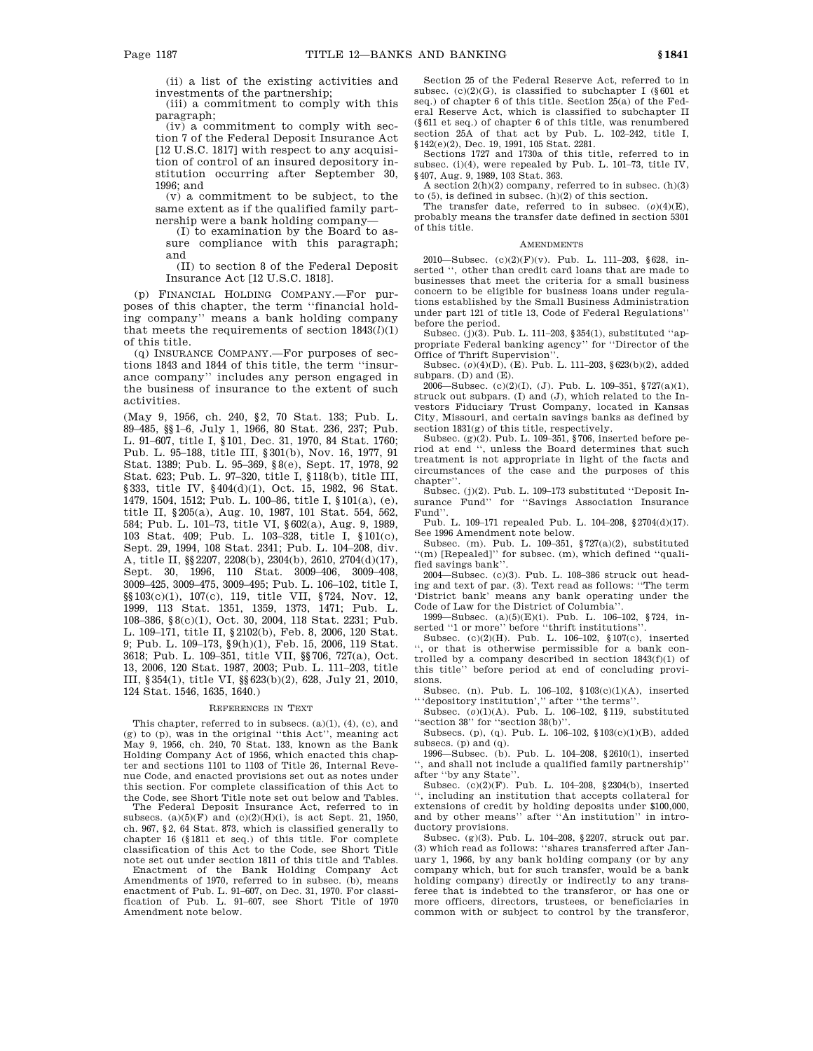(ii) a list of the existing activities and investments of the partnership;

(iii) a commitment to comply with this paragraph;

(iv) a commitment to comply with section 7 of the Federal Deposit Insurance Act [12 U.S.C. 1817] with respect to any acquisition of control of an insured depository institution occurring after September 30, 1996; and

 $(v)$  a commitment to be subject, to the same extent as if the qualified family partnership were a bank holding company—

(I) to examination by the Board to assure compliance with this paragraph; and

(II) to section 8 of the Federal Deposit Insurance Act [12 U.S.C. 1818].

(p) FINANCIAL HOLDING COMPANY.—For purposes of this chapter, the term ''financial holding company'' means a bank holding company that meets the requirements of section  $1843(l)(1)$ of this title.

(q) INSURANCE COMPANY.—For purposes of sections 1843 and 1844 of this title, the term ''insurance company'' includes any person engaged in the business of insurance to the extent of such activities.

(May 9, 1956, ch. 240, §2, 70 Stat. 133; Pub. L. 89–485, §§1–6, July 1, 1966, 80 Stat. 236, 237; Pub. L. 91–607, title I, §101, Dec. 31, 1970, 84 Stat. 1760; Pub. L. 95–188, title III, §301(b), Nov. 16, 1977, 91 Stat. 1389; Pub. L. 95–369, §8(e), Sept. 17, 1978, 92 Stat. 623; Pub. L. 97–320, title I, §118(b), title III, §333, title IV, §404(d)(1), Oct. 15, 1982, 96 Stat. 1479, 1504, 1512; Pub. L. 100–86, title I, §101(a), (e), title II, §205(a), Aug. 10, 1987, 101 Stat. 554, 562, 584; Pub. L. 101–73, title VI, §602(a), Aug. 9, 1989, 103 Stat. 409; Pub. L. 103–328, title I, §101(c), Sept. 29, 1994, 108 Stat. 2341; Pub. L. 104–208, div. A, title II, §§2207, 2208(b), 2304(b), 2610, 2704(d)(17), Sept. 30, 1996, 110 Stat. 3009–406, 3009–408, 3009–425, 3009–475, 3009–495; Pub. L. 106–102, title I, §§103(c)(1), 107(c), 119, title VII, §724, Nov. 12, 1999, 113 Stat. 1351, 1359, 1373, 1471; Pub. L. 108–386, §8(c)(1), Oct. 30, 2004, 118 Stat. 2231; Pub. L. 109–171, title II, §2102(b), Feb. 8, 2006, 120 Stat. 9; Pub. L. 109–173, §9(h)(1), Feb. 15, 2006, 119 Stat. 3618; Pub. L. 109–351, title VII, §§706, 727(a), Oct. 13, 2006, 120 Stat. 1987, 2003; Pub. L. 111–203, title III, §354(1), title VI, §§623(b)(2), 628, July 21, 2010, 124 Stat. 1546, 1635, 1640.)

### REFERENCES IN TEXT

This chapter, referred to in subsecs. (a)(1), (4), (c), and (g) to (p), was in the original ''this Act'', meaning act May 9, 1956, ch. 240, 70 Stat. 133, known as the Bank Holding Company Act of 1956, which enacted this chapter and sections 1101 to 1103 of Title 26, Internal Revenue Code, and enacted provisions set out as notes under this section. For complete classification of this Act to the Code, see Short Title note set out below and Tables.

The Federal Deposit Insurance Act, referred to in subsecs.  $(a)(5)(F)$  and  $(c)(2)(H)(i)$ , is act Sept. 21, 1950, ch. 967, §2, 64 Stat. 873, which is classified generally to chapter 16 (§1811 et seq.) of this title. For complete classification of this Act to the Code, see Short Title

note set out under section 1811 of this title and Tables. Enactment of the Bank Holding Company Act Amendments of 1970, referred to in subsec. (b), means enactment of Pub. L. 91–607, on Dec. 31, 1970. For classi-fication of Pub. L. 91–607, see Short Title of 1970 Amendment note below.

Section 25 of the Federal Reserve Act, referred to in subsec. (c)(2)(G), is classified to subchapter I (§601 et seq.) of chapter 6 of this title. Section 25(a) of the Federal Reserve Act, which is classified to subchapter II (§611 et seq.) of chapter 6 of this title, was renumbered section 25A of that act by Pub. L. 102-242, title I, §142(e)(2), Dec. 19, 1991, 105 Stat. 2281.

Sections 1727 and 1730a of this title, referred to in subsec. (i)(4), were repealed by Pub. L. 101–73, title IV, §407, Aug. 9, 1989, 103 Stat. 363.

A section  $2(h)(2)$  company, referred to in subsec.  $(h)(3)$ to  $(5)$ , is defined in subsec.  $(h)(2)$  of this section.

The transfer date, referred to in subsec. (*o*)(4)(E), probably means the transfer date defined in section 5301 of this title.

#### AMENDMENTS

2010—Subsec. (c)(2)(F)(v). Pub. L. 111–203, §628, inserted '', other than credit card loans that are made to businesses that meet the criteria for a small business concern to be eligible for business loans under regulations established by the Small Business Administration under part 121 of title 13, Code of Federal Regulations'' before the period.

Subsec. (j)(3). Pub. L. 111–203, §354(1), substituted ''appropriate Federal banking agency'' for ''Director of the Office of Thrift Supervision''.

Subsec. (*o*)(4)(D), (E). Pub. L. 111–203, §623(b)(2), added subpars. (D) and (E).

2006—Subsec.  $(c)(2)(1)$ , (J). Pub. L. 109-351, §727(a)(1), struck out subpars. (I) and (J), which related to the Investors Fiduciary Trust Company, located in Kansas City, Missouri, and certain savings banks as defined by section  $1831(e)$  of this title, respectively.

Subsec. (g)(2). Pub. L. 109–351, §706, inserted before period at end '', unless the Board determines that such treatment is not appropriate in light of the facts and circumstances of the case and the purposes of this chapter''.

Subsec. (j)(2). Pub. L. 109–173 substituted ''Deposit Insurance Fund'' for ''Savings Association Insurance Fund''.

Pub. L. 109–171 repealed Pub. L. 104–208, §2704(d)(17). See 1996 Amendment note below.

Subsec. (m). Pub. L. 109–351, §727(a)(2), substituted ''(m) [Repealed]'' for subsec. (m), which defined ''qualified savings bank''.

2004—Subsec. (c)(3). Pub. L. 108–386 struck out heading and text of par. (3). Text read as follows: ''The term 'District bank' means any bank operating under the Code of Law for the District of Columbia''.

1999—Subsec. (a)(5)(E)(i). Pub. L. 106–102, §724, inserted "1 or more" before "thrift institutions".

Subsec. (c)(2)(H). Pub. L. 106–102, §107(c), inserted '', or that is otherwise permissible for a bank controlled by a company described in section  $1843(f)(1)$  of this title'' before period at end of concluding provisions.

Subsec. (n). Pub. L. 106–102, §103(c)(1)(A), inserted '''depository institution','' after ''the terms''.

Subsec. (*o*)(1)(A). Pub. L. 106–102, §119, substituted 'section 38" for "section 38(b)".

Subsecs. (p), (q). Pub. L. 106–102, §103(c)(1)(B), added subsecs. (p) and  $(q)$ .

1996—Subsec. (b). Pub. L. 104–208, §2610(1), inserted , and shall not include a qualified family partnership' after ''by any State''.

Subsec. (c)(2)(F). Pub. L. 104–208, §2304(b), inserted '', including an institution that accepts collateral for extensions of credit by holding deposits under \$100,000, and by other means'' after ''An institution'' in introductory provisions.

Subsec. (g)(3). Pub. L. 104–208, §2207, struck out par. (3) which read as follows: ''shares transferred after January 1, 1966, by any bank holding company (or by any company which, but for such transfer, would be a bank holding company) directly or indirectly to any transferee that is indebted to the transferor, or has one or more officers, directors, trustees, or beneficiaries in common with or subject to control by the transferor,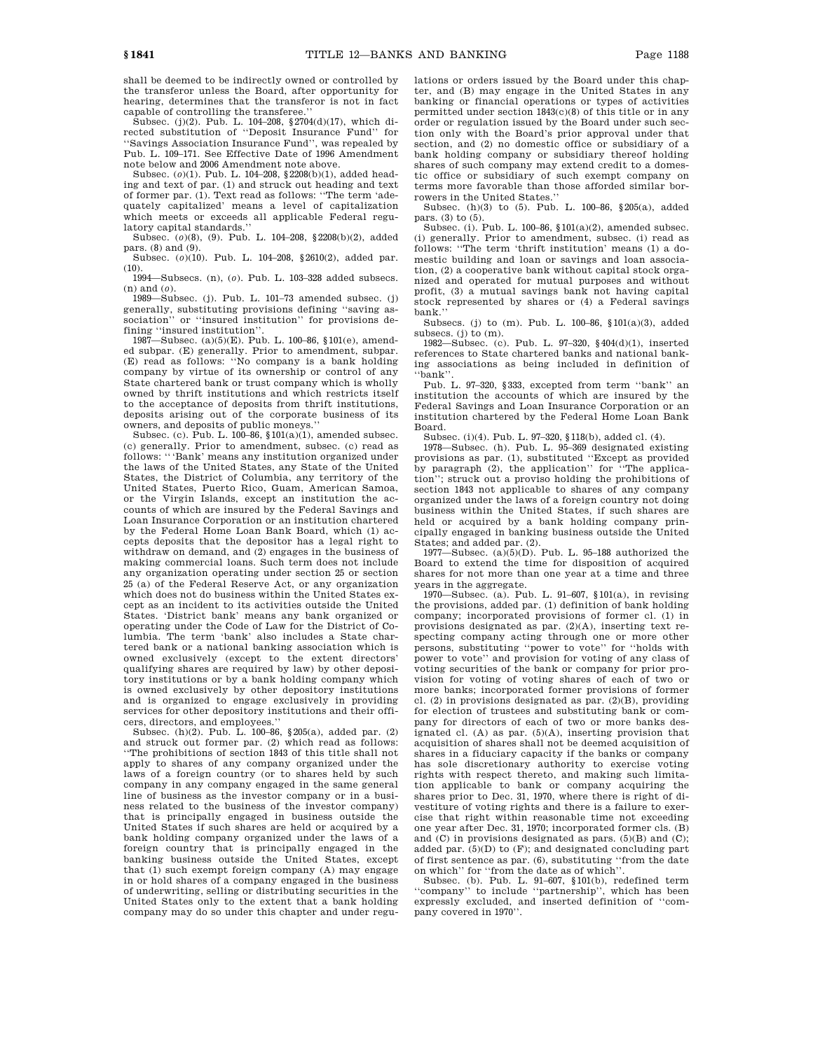shall be deemed to be indirectly owned or controlled by the transferor unless the Board, after opportunity for hearing, determines that the transferor is not in fact capable of controlling the transferee.''

Subsec. (j)(2). Pub. L. 104–208, §2704(d)(17), which directed substitution of ''Deposit Insurance Fund'' for ''Savings Association Insurance Fund'', was repealed by Pub. L. 109–171. See Effective Date of 1996 Amendment note below and 2006 Amendment note above.

Subsec. (*o*)(1). Pub. L. 104–208, §2208(b)(1), added heading and text of par. (1) and struck out heading and text of former par. (1). Text read as follows: ''The term 'adequately capitalized' means a level of capitalization which meets or exceeds all applicable Federal regulatory capital standards.''

Subsec. (*o*)(8), (9). Pub. L. 104–208, §2208(b)(2), added pars. (8) and (9).

Subsec. (*o*)(10). Pub. L. 104–208, §2610(2), added par.  $(10).$ 

1994—Subsecs. (n), (*o*). Pub. L. 103–328 added subsecs. (n) and (*o*).

 $1989$ —Subsec. (j). Pub. L. 101–73 amended subsec. (j) generally, substituting provisions defining ''saving association'' or ''insured institution'' for provisions defining ''insured institution''.

1987—Subsec. (a)(5)(E). Pub. L. 100–86, §101(e), amended subpar. (E) generally. Prior to amendment, subpar. (E) read as follows: ''No company is a bank holding company by virtue of its ownership or control of any State chartered bank or trust company which is wholly owned by thrift institutions and which restricts itself to the acceptance of deposits from thrift institutions, deposits arising out of the corporate business of its owners, and deposits of public moneys.''

Subsec. (c). Pub. L. 100–86, §101(a)(1), amended subsec. (c) generally. Prior to amendment, subsec. (c) read as follows: '''Bank' means any institution organized under the laws of the United States, any State of the United States, the District of Columbia, any territory of the United States, Puerto Rico, Guam, American Samoa, or the Virgin Islands, except an institution the accounts of which are insured by the Federal Savings and Loan Insurance Corporation or an institution chartered by the Federal Home Loan Bank Board, which (1) accepts deposits that the depositor has a legal right to withdraw on demand, and (2) engages in the business of making commercial loans. Such term does not include any organization operating under section 25 or section 25 (a) of the Federal Reserve Act, or any organization which does not do business within the United States except as an incident to its activities outside the United States. 'District bank' means any bank organized or operating under the Code of Law for the District of Columbia. The term 'bank' also includes a State chartered bank or a national banking association which is owned exclusively (except to the extent directors' qualifying shares are required by law) by other depository institutions or by a bank holding company which is owned exclusively by other depository institutions and is organized to engage exclusively in providing services for other depository institutions and their officers, directors, and employees.''

Subsec. (h)(2). Pub. L. 100–86, §205(a), added par. (2) and struck out former par. (2) which read as follows: ''The prohibitions of section 1843 of this title shall not apply to shares of any company organized under the laws of a foreign country (or to shares held by such company in any company engaged in the same general line of business as the investor company or in a business related to the business of the investor company) that is principally engaged in business outside the United States if such shares are held or acquired by a bank holding company organized under the laws of a foreign country that is principally engaged in the banking business outside the United States, except that (1) such exempt foreign company (A) may engage in or hold shares of a company engaged in the business of underwriting, selling or distributing securities in the United States only to the extent that a bank holding company may do so under this chapter and under regulations or orders issued by the Board under this chapter, and (B) may engage in the United States in any banking or financial operations or types of activities permitted under section 1843(c)(8) of this title or in any order or regulation issued by the Board under such section only with the Board's prior approval under that section, and (2) no domestic office or subsidiary of a bank holding company or subsidiary thereof holding shares of such company may extend credit to a domestic office or subsidiary of such exempt company on terms more favorable than those afforded similar borrowers in the United States.

Subsec. (h)(3) to (5). Pub. L. 100–86, §205(a), added pars. (3) to (5).

Subsec. (i). Pub. L. 100–86, §101(a)(2), amended subsec. (i) generally. Prior to amendment, subsec. (i) read as follows: ''The term 'thrift institution' means (1) a domestic building and loan or savings and loan association, (2) a cooperative bank without capital stock organized and operated for mutual purposes and without profit, (3) a mutual savings bank not having capital stock represented by shares or (4) a Federal savings bank.''

Subsecs. (j) to (m). Pub. L. 100–86, §101(a)(3), added subsecs. (j) to (m).

1982—Subsec. (c). Pub. L. 97–320, §404(d)(1), inserted references to State chartered banks and national banking associations as being included in definition of ''bank''.

Pub. L. 97–320, §333, excepted from term ''bank'' an institution the accounts of which are insured by the Federal Savings and Loan Insurance Corporation or an institution chartered by the Federal Home Loan Bank Board.

Subsec. (i)(4). Pub. L. 97–320, §118(b), added cl. (4).

1978—Subsec. (h). Pub. L. 95–369 designated existing provisions as par. (1), substituted ''Except as provided by paragraph (2), the application'' for ''The application''; struck out a proviso holding the prohibitions of section 1843 not applicable to shares of any company organized under the laws of a foreign country not doing business within the United States, if such shares are held or acquired by a bank holding company principally engaged in banking business outside the United States; and added par. (2).

1977—Subsec.  $(a)(5)(D)$ . Pub. L. 95-188 authorized the Board to extend the time for disposition of acquired shares for not more than one year at a time and three years in the aggregate.

1970—Subsec. (a). Pub. L. 91–607, §101(a), in revising the provisions, added par. (1) definition of bank holding company; incorporated provisions of former cl. (1) in provisions designated as par. (2)(A), inserting text respecting company acting through one or more other persons, substituting ''power to vote'' for ''holds with power to vote'' and provision for voting of any class of voting securities of the bank or company for prior provision for voting of voting shares of each of two or more banks; incorporated former provisions of former cl. (2) in provisions designated as par. (2)(B), providing for election of trustees and substituting bank or company for directors of each of two or more banks designated cl.  $(A)$  as par.  $(5)(A)$ , inserting provision that acquisition of shares shall not be deemed acquisition of shares in a fiduciary capacity if the banks or company has sole discretionary authority to exercise voting rights with respect thereto, and making such limitation applicable to bank or company acquiring the shares prior to Dec. 31, 1970, where there is right of divestiture of voting rights and there is a failure to exercise that right within reasonable time not exceeding one year after Dec. 31, 1970; incorporated former cls. (B) and  $(C)$  in provisions designated as pars.  $(5)(B)$  and  $(C)$ ; added par.  $(5)(D)$  to  $(F)$ ; and designated concluding part of first sentence as par. (6), substituting ''from the date on which'' for ''from the date as of which''.

Subsec. (b). Pub. L. 91–607, §101(b), redefined term 'company'' to include "partnership", which has been expressly excluded, and inserted definition of ''company covered in 1970''.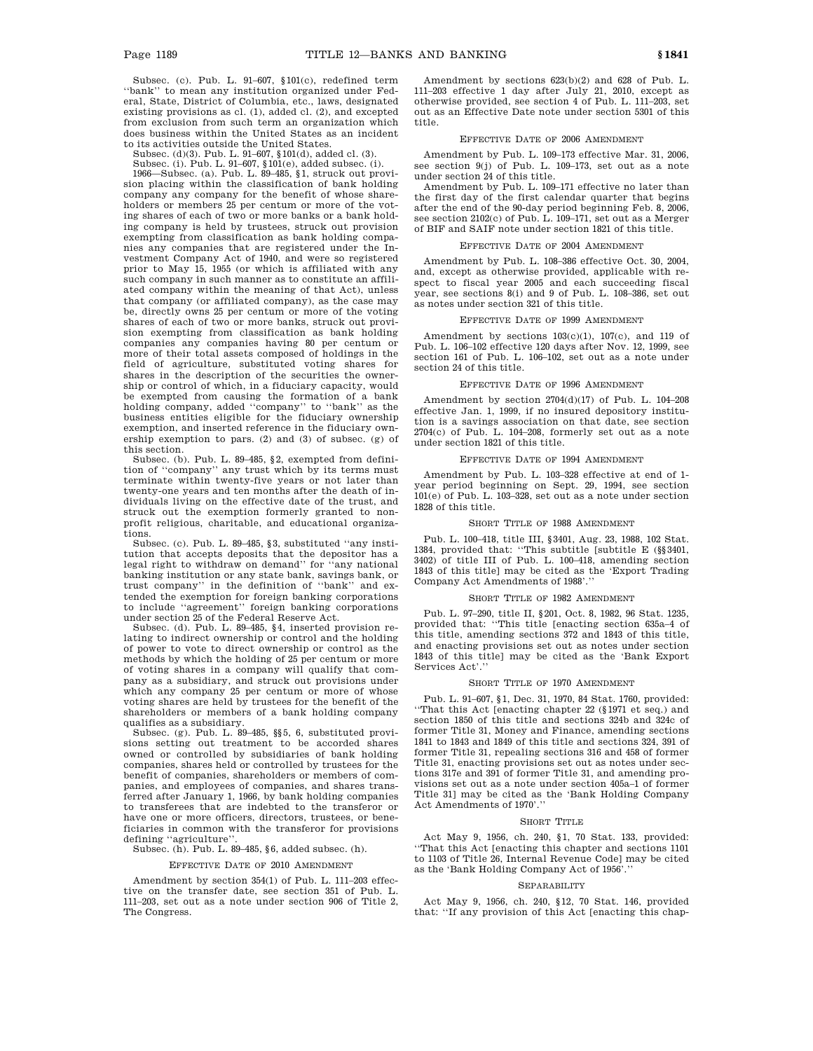Subsec. (c). Pub. L. 91–607, §101(c), redefined term ''bank'' to mean any institution organized under Federal, State, District of Columbia, etc., laws, designated existing provisions as cl. (1), added cl. (2), and excepted from exclusion from such term an organization which does business within the United States as an incident to its activities outside the United States.

Subsec. (d)(3). Pub. L. 91–607, §101(d), added cl. (3).

Subsec. (i). Pub. L. 91–607, §101(e), added subsec. (i).

1966—Subsec. (a). Pub. L. 89–485, §1, struck out provision placing within the classification of bank holding company any company for the benefit of whose shareholders or members 25 per centum or more of the voting shares of each of two or more banks or a bank holding company is held by trustees, struck out provision exempting from classification as bank holding companies any companies that are registered under the Investment Company Act of 1940, and were so registered prior to May 15, 1955 (or which is affiliated with any such company in such manner as to constitute an affiliated company within the meaning of that Act), unless that company (or affiliated company), as the case may be, directly owns 25 per centum or more of the voting shares of each of two or more banks, struck out provision exempting from classification as bank holding companies any companies having 80 per centum or more of their total assets composed of holdings in the field of agriculture, substituted voting shares for shares in the description of the securities the ownership or control of which, in a fiduciary capacity, would be exempted from causing the formation of a bank holding company, added ''company'' to ''bank'' as the business entities eligible for the fiduciary ownership exemption, and inserted reference in the fiduciary ownership exemption to pars. (2) and (3) of subsec. (g) of this section.

Subsec. (b). Pub. L. 89–485, §2, exempted from definition of ''company'' any trust which by its terms must terminate within twenty-five years or not later than twenty-one years and ten months after the death of individuals living on the effective date of the trust, and struck out the exemption formerly granted to nonprofit religious, charitable, and educational organizations.

Subsec. (c). Pub. L. 89–485, §3, substituted ''any institution that accepts deposits that the depositor has a legal right to withdraw on demand'' for ''any national banking institution or any state bank, savings bank, or trust company'' in the definition of ''bank'' and extended the exemption for foreign banking corporations to include ''agreement'' foreign banking corporations under section 25 of the Federal Reserve Act.

Subsec. (d). Pub. L. 89–485, §4, inserted provision relating to indirect ownership or control and the holding of power to vote to direct ownership or control as the methods by which the holding of 25 per centum or more of voting shares in a company will qualify that company as a subsidiary, and struck out provisions under which any company 25 per centum or more of whose voting shares are held by trustees for the benefit of the shareholders or members of a bank holding company qualifies as a subsidiary.

Subsec. (g). Pub. L. 89–485, §§5, 6, substituted provi-sions setting out treatment to be accorded shares owned or controlled by subsidiaries of bank holding companies, shares held or controlled by trustees for the benefit of companies, shareholders or members of companies, and employees of companies, and shares transferred after January 1, 1966, by bank holding companies to transferees that are indebted to the transferor or have one or more officers, directors, trustees, or beneficiaries in common with the transferor for provisions defining ''agriculture''.

Subsec. (h). Pub. L. 89–485,  $§6$ , added subsec. (h).

#### EFFECTIVE DATE OF 2010 AMENDMENT

Amendment by section 354(1) of Pub. L. 111–203 effective on the transfer date, see section 351 of Pub. L. 111–203, set out as a note under section 906 of Title 2, The Congress.

Amendment by sections 623(b)(2) and 628 of Pub. L. 111–203 effective 1 day after July 21, 2010, except as otherwise provided, see section 4 of Pub. L. 111–203, set out as an Effective Date note under section 5301 of this title.

#### EFFECTIVE DATE OF 2006 AMENDMENT

Amendment by Pub. L. 109–173 effective Mar. 31, 2006, see section 9(j) of Pub. L. 109–173, set out as a note under section 24 of this title.

Amendment by Pub. L. 109–171 effective no later than the first day of the first calendar quarter that begins after the end of the 90-day period beginning Feb. 8, 2006, see section 2102(c) of Pub. L. 109–171, set out as a Merger of BIF and SAIF note under section 1821 of this title.

### EFFECTIVE DATE OF 2004 AMENDMENT

Amendment by Pub. L. 108–386 effective Oct. 30, 2004, and, except as otherwise provided, applicable with respect to fiscal year 2005 and each succeeding fiscal year, see sections 8(i) and 9 of Pub. L. 108–386, set out as notes under section 321 of this title.

#### EFFECTIVE DATE OF 1999 AMENDMENT

Amendment by sections 103(c)(1), 107(c), and 119 of Pub. L. 106–102 effective 120 days after Nov. 12, 1999, see section 161 of Pub. L. 106–102, set out as a note under section 24 of this title.

## EFFECTIVE DATE OF 1996 AMENDMENT

Amendment by section 2704(d)(17) of Pub. L. 104–208 effective Jan. 1, 1999, if no insured depository institution is a savings association on that date, see section  $2704(c)$  of Pub. L.  $104-208$ , formerly set out as a note under section 1821 of this title.

### EFFECTIVE DATE OF 1994 AMENDMENT

Amendment by Pub. L. 103–328 effective at end of 1 year period beginning on Sept. 29, 1994, see section 101(e) of Pub. L. 103–328, set out as a note under section 1828 of this title.

### SHORT TITLE OF 1988 AMENDMENT

Pub. L. 100–418, title III, §3401, Aug. 23, 1988, 102 Stat. 1384, provided that: ''This subtitle [subtitle E (§§3401, 3402) of title III of Pub. L. 100–418, amending section 1843 of this title] may be cited as the 'Export Trading Company Act Amendments of 1988'.''

#### SHORT TITLE OF 1982 AMENDMENT

Pub. L. 97–290, title II, §201, Oct. 8, 1982, 96 Stat. 1235, provided that: ''This title [enacting section 635a–4 of this title, amending sections 372 and 1843 of this title, and enacting provisions set out as notes under section 1843 of this title] may be cited as the 'Bank Export Services Act'.

#### SHORT TITLE OF 1970 AMENDMENT

Pub. L. 91–607, §1, Dec. 31, 1970, 84 Stat. 1760, provided: ''That this Act [enacting chapter 22 (§1971 et seq.) and section 1850 of this title and sections 324b and 324c of former Title 31, Money and Finance, amending sections 1841 to 1843 and 1849 of this title and sections 324, 391 of former Title 31, repealing sections 316 and 458 of former Title 31, enacting provisions set out as notes under sections 317e and 391 of former Title 31, and amending provisions set out as a note under section 405a–1 of former Title 31] may be cited as the 'Bank Holding Company Act Amendments of 1970'.''

#### SHORT TITLE

Act May 9, 1956, ch. 240, §1, 70 Stat. 133, provided: ''That this Act [enacting this chapter and sections 1101 to 1103 of Title 26, Internal Revenue Code] may be cited as the 'Bank Holding Company Act of 1956'.'

#### **SEPARABILITY**

Act May 9, 1956, ch. 240, §12, 70 Stat. 146, provided that: ''If any provision of this Act [enacting this chap-